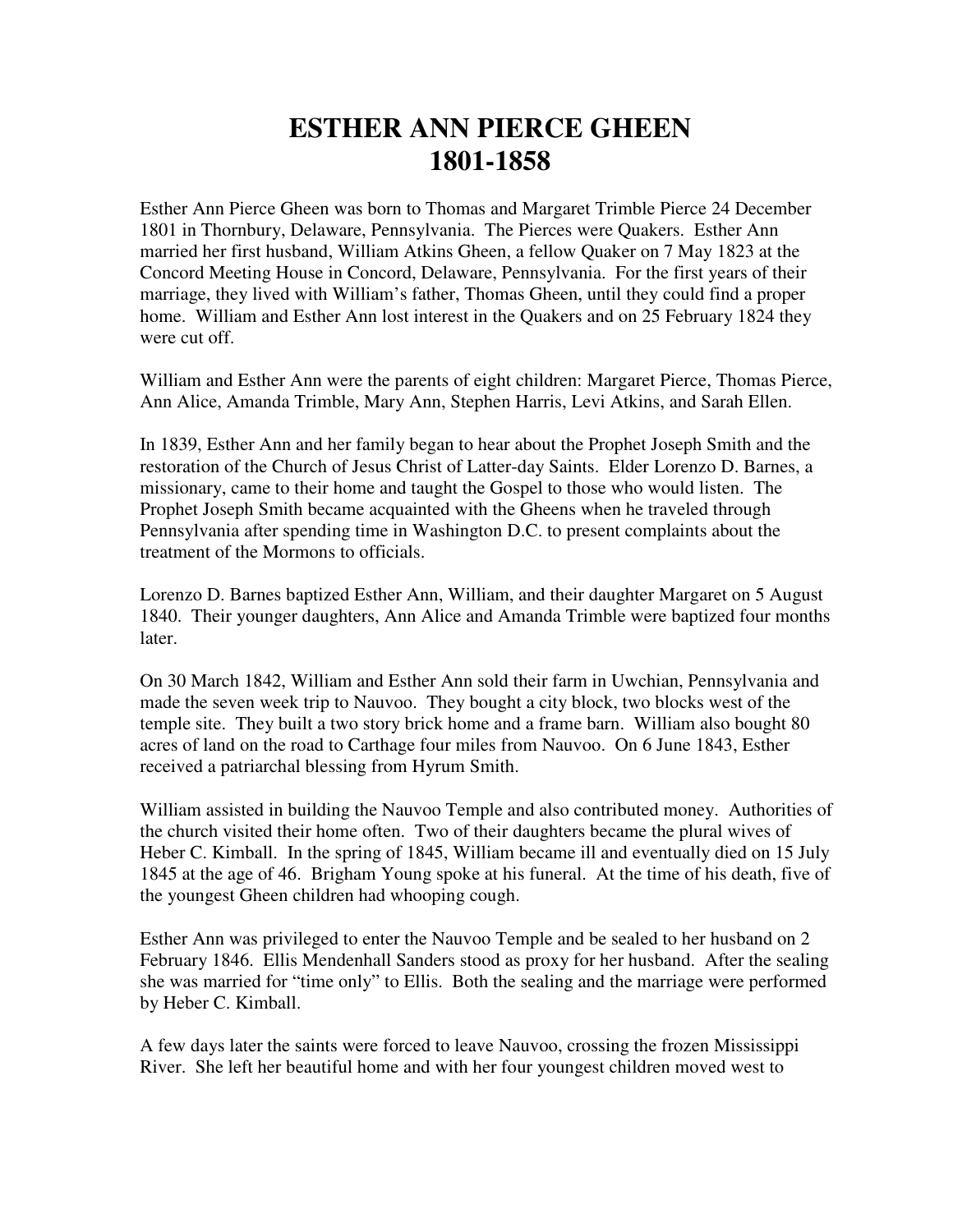## **ESTHER ANN PIERCE GHEEN 1801-1858**

Esther Ann Pierce Gheen was born to Thomas and Margaret Trimble Pierce 24 December 1801 in Thornbury, Delaware, Pennsylvania. The Pierces were Quakers. Esther Ann married her first husband, William Atkins Gheen, a fellow Quaker on 7 May 1823 at the Concord Meeting House in Concord, Delaware, Pennsylvania. For the first years of their marriage, they lived with William's father, Thomas Gheen, until they could find a proper home. William and Esther Ann lost interest in the Quakers and on 25 February 1824 they were cut off.

William and Esther Ann were the parents of eight children: Margaret Pierce, Thomas Pierce, Ann Alice, Amanda Trimble, Mary Ann, Stephen Harris, Levi Atkins, and Sarah Ellen.

In 1839, Esther Ann and her family began to hear about the Prophet Joseph Smith and the restoration of the Church of Jesus Christ of Latter-day Saints. Elder Lorenzo D. Barnes, a missionary, came to their home and taught the Gospel to those who would listen. The Prophet Joseph Smith became acquainted with the Gheens when he traveled through Pennsylvania after spending time in Washington D.C. to present complaints about the treatment of the Mormons to officials.

Lorenzo D. Barnes baptized Esther Ann, William, and their daughter Margaret on 5 August 1840. Their younger daughters, Ann Alice and Amanda Trimble were baptized four months later.

On 30 March 1842, William and Esther Ann sold their farm in Uwchian, Pennsylvania and made the seven week trip to Nauvoo. They bought a city block, two blocks west of the temple site. They built a two story brick home and a frame barn. William also bought 80 acres of land on the road to Carthage four miles from Nauvoo. On 6 June 1843, Esther received a patriarchal blessing from Hyrum Smith.

William assisted in building the Nauvoo Temple and also contributed money. Authorities of the church visited their home often. Two of their daughters became the plural wives of Heber C. Kimball. In the spring of 1845, William became ill and eventually died on 15 July 1845 at the age of 46. Brigham Young spoke at his funeral. At the time of his death, five of the youngest Gheen children had whooping cough.

Esther Ann was privileged to enter the Nauvoo Temple and be sealed to her husband on 2 February 1846. Ellis Mendenhall Sanders stood as proxy for her husband. After the sealing she was married for "time only" to Ellis. Both the sealing and the marriage were performed by Heber C. Kimball.

A few days later the saints were forced to leave Nauvoo, crossing the frozen Mississippi River. She left her beautiful home and with her four youngest children moved west to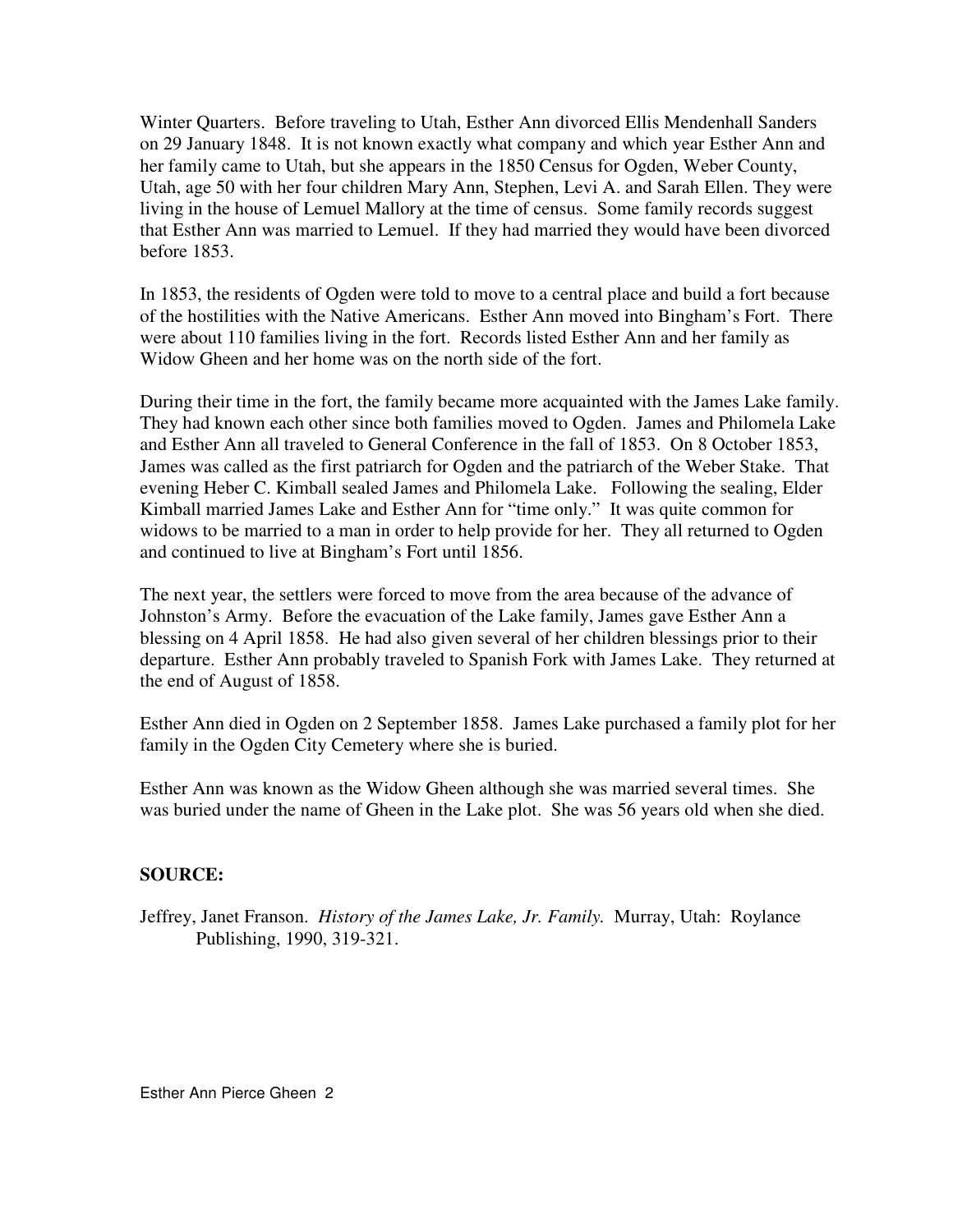Winter Quarters. Before traveling to Utah, Esther Ann divorced Ellis Mendenhall Sanders on 29 January 1848. It is not known exactly what company and which year Esther Ann and her family came to Utah, but she appears in the 1850 Census for Ogden, Weber County, Utah, age 50 with her four children Mary Ann, Stephen, Levi A. and Sarah Ellen. They were living in the house of Lemuel Mallory at the time of census. Some family records suggest that Esther Ann was married to Lemuel. If they had married they would have been divorced before 1853.

In 1853, the residents of Ogden were told to move to a central place and build a fort because of the hostilities with the Native Americans. Esther Ann moved into Bingham's Fort. There were about 110 families living in the fort. Records listed Esther Ann and her family as Widow Gheen and her home was on the north side of the fort.

During their time in the fort, the family became more acquainted with the James Lake family. They had known each other since both families moved to Ogden. James and Philomela Lake and Esther Ann all traveled to General Conference in the fall of 1853. On 8 October 1853, James was called as the first patriarch for Ogden and the patriarch of the Weber Stake. That evening Heber C. Kimball sealed James and Philomela Lake. Following the sealing, Elder Kimball married James Lake and Esther Ann for "time only." It was quite common for widows to be married to a man in order to help provide for her. They all returned to Ogden and continued to live at Bingham's Fort until 1856.

The next year, the settlers were forced to move from the area because of the advance of Johnston's Army. Before the evacuation of the Lake family, James gave Esther Ann a blessing on 4 April 1858. He had also given several of her children blessings prior to their departure. Esther Ann probably traveled to Spanish Fork with James Lake. They returned at the end of August of 1858.

Esther Ann died in Ogden on 2 September 1858. James Lake purchased a family plot for her family in the Ogden City Cemetery where she is buried.

Esther Ann was known as the Widow Gheen although she was married several times. She was buried under the name of Gheen in the Lake plot. She was 56 years old when she died.

## **SOURCE:**

Jeffrey, Janet Franson. *History of the James Lake, Jr. Family.* Murray, Utah: Roylance Publishing, 1990, 319-321.